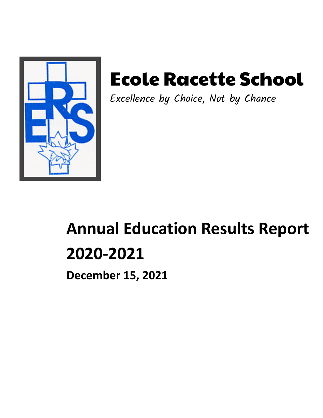

# Ecole Racette School

Excellence by Choice, Not by Chance

# **Annual Education Results Report 2020-2021**

**December 15, 2021**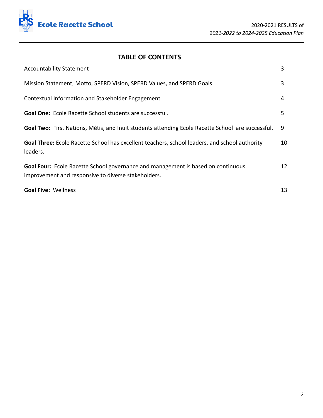

# **TABLE OF CONTENTS**

| <b>Accountability Statement</b>                                                                                                         | 3  |
|-----------------------------------------------------------------------------------------------------------------------------------------|----|
| Mission Statement, Motto, SPERD Vision, SPERD Values, and SPERD Goals                                                                   | 3  |
| Contextual Information and Stakeholder Engagement                                                                                       | 4  |
| Goal One: Ecole Racette School students are successful.                                                                                 | 5. |
| Goal Two: First Nations, Métis, and Inuit students attending Ecole Racette School are successful.                                       | 9  |
| Goal Three: Ecole Racette School has excellent teachers, school leaders, and school authority<br>leaders.                               | 10 |
| Goal Four: Ecole Racette School governance and management is based on continuous<br>improvement and responsive to diverse stakeholders. | 12 |
| <b>Goal Five: Wellness</b>                                                                                                              | 13 |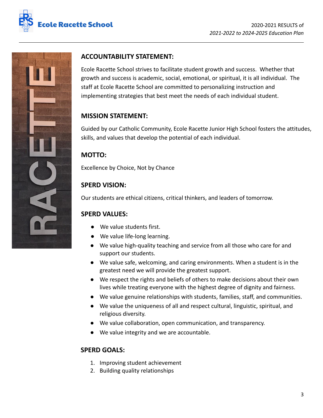



# **ACCOUNTABILITY STATEMENT:**

Ecole Racette School strives to facilitate student growth and success. Whether that growth and success is academic, social, emotional, or spiritual, it is all individual. The staff at Ecole Racette School are committed to personalizing instruction and implementing strategies that best meet the needs of each individual student.

## **MISSION STATEMENT:**

Guided by our Catholic Community, Ecole Racette Junior High School fosters the attitudes, skills, and values that develop the potential of each individual.

# **MOTTO:**

Excellence by Choice, Not by Chance

# **SPERD VISION:**

Our students are ethical citizens, critical thinkers, and leaders of tomorrow.

## **SPERD VALUES:**

- We value students first.
- We value life-long learning.
- We value high-quality teaching and service from all those who care for and support our students.
- We value safe, welcoming, and caring environments. When a student is in the greatest need we will provide the greatest support.
- We respect the rights and beliefs of others to make decisions about their own lives while treating everyone with the highest degree of dignity and fairness.
- We value genuine relationships with students, families, staff, and communities.
- We value the uniqueness of all and respect cultural, linguistic, spiritual, and religious diversity.
- We value collaboration, open communication, and transparency.
- We value integrity and we are accountable.

## **SPERD GOALS:**

- 1. Improving student achievement
- 2. Building quality relationships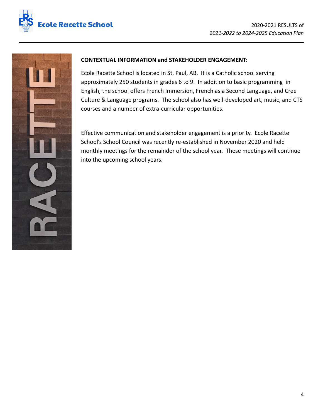



## **CONTEXTUAL INFORMATION and STAKEHOLDER ENGAGEMENT:**

Ecole Racette School is located in St. Paul, AB. It is a Catholic school serving approximately 250 students in grades 6 to 9. In addition to basic programming in English, the school offers French Immersion, French as a Second Language, and Cree Culture & Language programs. The school also has well-developed art, music, and CTS courses and a number of extra-curricular opportunities.

Effective communication and stakeholder engagement is a priority. Ecole Racette School's School Council was recently re-established in November 2020 and held monthly meetings for the remainder of the school year. These meetings will continue into the upcoming school years.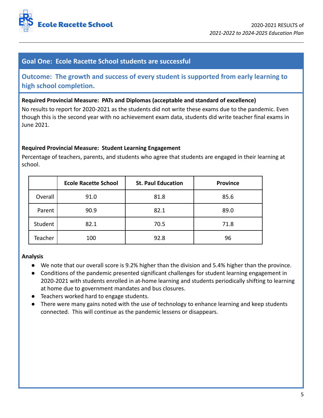

# **Goal One: Ecole Racette School students are successful**

**Outcome: The growth and success of every student is supported from early learning to high school completion.**

#### **Required Provincial Measure: PATs and Diplomas (acceptable and standard of excellence)**

No results to report for 2020-2021 as the students did not write these exams due to the pandemic. Even though this is the second year with no achievement exam data, students did write teacher final exams in June 2021.

#### **Required Provincial Measure: Student Learning Engagement**

|         | <b>Ecole Racette School</b> | <b>St. Paul Education</b> | <b>Province</b> |
|---------|-----------------------------|---------------------------|-----------------|
| Overall | 91.0                        | 81.8                      | 85.6            |
| Parent  | 90.9                        | 82.1                      | 89.0            |
| Student | 82.1                        | 70.5                      | 71.8            |
| Teacher | 100                         | 92.8                      | 96              |

Percentage of teachers, parents, and students who agree that students are engaged in their learning at school.

- We note that our overall score is 9.2% higher than the division and 5.4% higher than the province.
- Conditions of the pandemic presented significant challenges for student learning engagement in 2020-2021 with students enrolled in at-home learning and students periodically shifting to learning at home due to government mandates and bus closures.
- Teachers worked hard to engage students.
- There were many gains noted with the use of technology to enhance learning and keep students connected. This will continue as the pandemic lessens or disappears.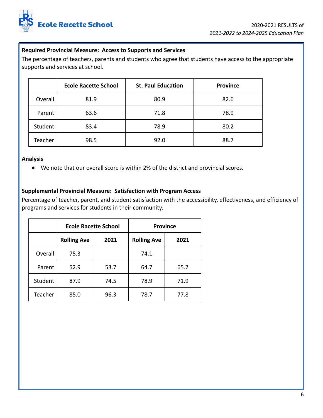

## **Required Provincial Measure: Access to Supports and Services**

The percentage of teachers, parents and students who agree that students have access to the appropriate supports and services at school.

|         | <b>Ecole Racette School</b> | <b>St. Paul Education</b> | <b>Province</b> |
|---------|-----------------------------|---------------------------|-----------------|
| Overall | 81.9                        | 80.9                      | 82.6            |
| Parent  | 63.6                        | 71.8                      | 78.9            |
| Student | 83.4                        | 78.9                      | 80.2            |
| Teacher | 98.5                        | 92.0                      | 88.7            |

#### **Analysis**

● We note that our overall score is within 2% of the district and provincial scores.

#### **Supplemental Provincial Measure: Satisfaction with Program Access**

Percentage of teacher, parent, and student satisfaction with the accessibility, effectiveness, and efficiency of programs and services for students in their community.

|         | <b>Ecole Racette School</b> |      |                    | <b>Province</b> |
|---------|-----------------------------|------|--------------------|-----------------|
|         | <b>Rolling Ave</b>          | 2021 | <b>Rolling Ave</b> | 2021            |
| Overall | 75.3                        |      | 74.1               |                 |
| Parent  | 52.9                        | 53.7 | 64.7               | 65.7            |
| Student | 87.9                        | 74.5 | 78.9               | 71.9            |
| Teacher | 85.0                        | 96.3 | 78.7               | 77.8            |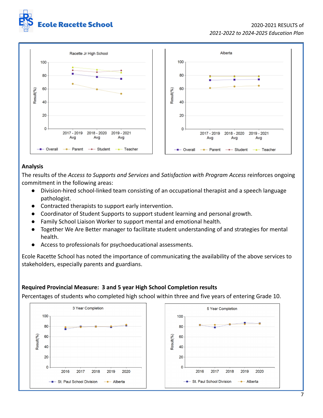



## **Analysis**

The results of the *Access to Supports and Services* and *Satisfaction with Program Access* reinforces ongoing commitment in the following areas:

- Division-hired school-linked team consisting of an occupational therapist and a speech language pathologist.
- Contracted therapists to support early intervention.
- Coordinator of Student Supports to support student learning and personal growth.
- Family School Liaison Worker to support mental and emotional health.
- Together We Are Better manager to facilitate student understanding of and strategies for mental health.
- Access to professionals for psychoeducational assessments.

Ecole Racette School has noted the importance of communicating the availability of the above services to stakeholders, especially parents and guardians.

## **Required Provincial Measure: 3 and 5 year High School Completion results**

Percentages of students who completed high school within three and five years of entering Grade 10.

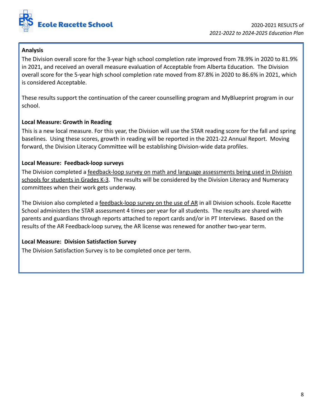

## **Analysis**

The Division overall score for the 3-year high school completion rate improved from 78.9% in 2020 to 81.9% in 2021, and received an overall measure evaluation of Acceptable from Alberta Education. The Division overall score for the 5-year high school completion rate moved from 87.8% in 2020 to 86.6% in 2021, which is considered Acceptable.

These results support the continuation of the career counselling program and MyBlueprint program in our school.

## **Local Measure: Growth in Reading**

This is a new local measure. For this year, the Division will use the STAR reading score for the fall and spring baselines. Using these scores, growth in reading will be reported in the 2021-22 Annual Report. Moving forward, the Division Literacy Committee will be establishing Division-wide data profiles.

## **Local Measure: Feedback-loop surveys**

The Division completed a feedback-loop survey on math and language assessments being used in Division schools for students in Grades K-3. The results will be considered by the Division Literacy and Numeracy committees when their work gets underway.

The Division also completed a feedback-loop survey on the use of AR in all Division schools. Ecole Racette School administers the STAR assessment 4 times per year for all students. The results are shared with parents and guardians through reports attached to report cards and/or in PT Interviews. Based on the results of the AR Feedback-loop survey, the AR license was renewed for another two-year term.

## **Local Measure: Division Satisfaction Survey**

The Division Satisfaction Survey is to be completed once per term.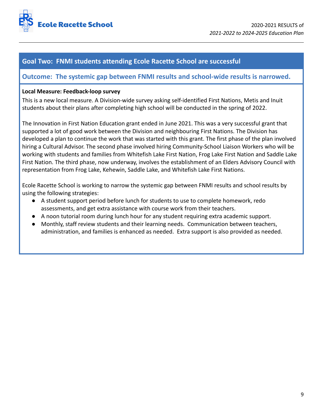

## **Goal Two: FNMI students attending Ecole Racette School are successful**

## **Outcome: The systemic gap between FNMI results and school-wide results is narrowed.**

#### **Local Measure: Feedback-loop survey**

This is a new local measure. A Division-wide survey asking self-identified First Nations, Metis and Inuit students about their plans after completing high school will be conducted in the spring of 2022.

The Innovation in First Nation Education grant ended in June 2021. This was a very successful grant that supported a lot of good work between the Division and neighbouring First Nations. The Division has developed a plan to continue the work that was started with this grant. The first phase of the plan involved hiring a Cultural Advisor. The second phase involved hiring Community-School Liaison Workers who will be working with students and families from Whitefish Lake First Nation, Frog Lake First Nation and Saddle Lake First Nation. The third phase, now underway, involves the establishment of an Elders Advisory Council with representation from Frog Lake, Kehewin, Saddle Lake, and Whitefish Lake First Nations.

Ecole Racette School is working to narrow the systemic gap between FNMI results and school results by using the following strategies:

- A student support period before lunch for students to use to complete homework, redo assessments, and get extra assistance with course work from their teachers.
- A noon tutorial room during lunch hour for any student requiring extra academic support.
- Monthly, staff review students and their learning needs. Communication between teachers, administration, and families is enhanced as needed. Extra support is also provided as needed.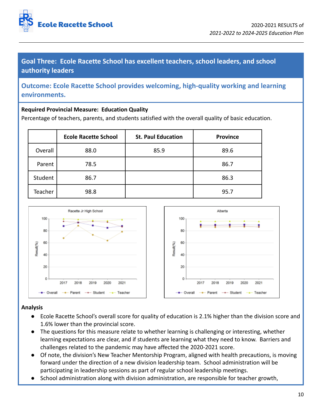

**Goal Three: Ecole Racette School has excellent teachers, school leaders, and school authority leaders**

**Outcome: Ecole Racette School provides welcoming, high-quality working and learning environments.**

## **Required Provincial Measure: Education Quality**

Percentage of teachers, parents, and students satisfied with the overall quality of basic education.

|         | <b>Ecole Racette School</b> | <b>St. Paul Education</b> | <b>Province</b> |
|---------|-----------------------------|---------------------------|-----------------|
| Overall | 88.0                        | 85.9                      | 89.6            |
| Parent  | 78.5                        |                           | 86.7            |
| Student | 86.7                        |                           | 86.3            |
| Teacher | 98.8                        |                           | 95.7            |



- Ecole Racette School's overall score for quality of education is 2.1% higher than the division score and 1.6% lower than the provincial score.
- The questions for this measure relate to whether learning is challenging or interesting, whether learning expectations are clear, and if students are learning what they need to know. Barriers and challenges related to the pandemic may have affected the 2020-2021 score.
- Of note, the division's New Teacher Mentorship Program, aligned with health precautions, is moving forward under the direction of a new division leadership team. School administration will be participating in leadership sessions as part of regular school leadership meetings.
- School administration along with division administration, are responsible for teacher growth,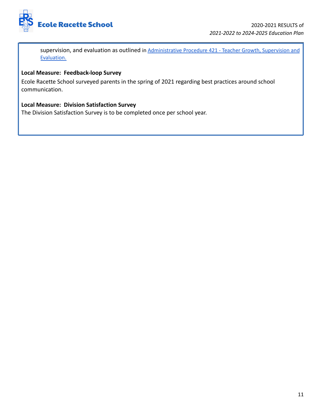

supervision, and evaluation as outlined in [Administrative](https://drive.google.com/file/d/1cQU4kjoRfpuZNNK8WWyWbTd_CmLxxrGb/view) Procedure 421 - Teacher Growth, Supervision and [Evaluation.](https://drive.google.com/file/d/1cQU4kjoRfpuZNNK8WWyWbTd_CmLxxrGb/view)

## **Local Measure: Feedback-loop Survey**

Ecole Racette School surveyed parents in the spring of 2021 regarding best practices around school communication.

## **Local Measure: Division Satisfaction Survey**

The Division Satisfaction Survey is to be completed once per school year.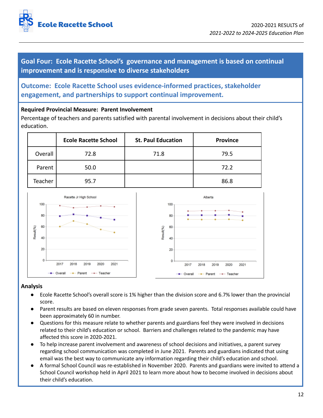

**Goal Four: Ecole Racette School's governance and management is based on continual improvement and is responsive to diverse stakeholders**

**Outcome: Ecole Racette School uses evidence-informed practices, stakeholder engagement, and partnerships to support continual improvement.**

## **Required Provincial Measure: Parent Involvement**

Percentage of teachers and parents satisfied with parental involvement in decisions about their child's education.

|         | <b>Ecole Racette School</b> | <b>St. Paul Education</b> | <b>Province</b> |
|---------|-----------------------------|---------------------------|-----------------|
| Overall | 72.8                        | 71.8                      | 79.5            |
| Parent  | 50.0                        |                           | 72.2            |
| Teacher | 95.7                        |                           | 86.8            |



- Ecole Racette School's overall score is 1% higher than the division score and 6.7% lower than the provincial score.
- Parent results are based on eleven responses from grade seven parents. Total responses available could have been approximately 60 in number.
- Questions for this measure relate to whether parents and guardians feel they were involved in decisions related to their child's education or school. Barriers and challenges related to the pandemic may have affected this score in 2020-2021.
- To help increase parent involvement and awareness of school decisions and initiatives, a parent survey regarding school communication was completed in June 2021. Parents and guardians indicated that using email was the best way to communicate any information regarding their child's education and school.
- A formal School Council was re-established in November 2020. Parents and guardians were invited to attend a School Council workshop held in April 2021 to learn more about how to become involved in decisions about their child's education.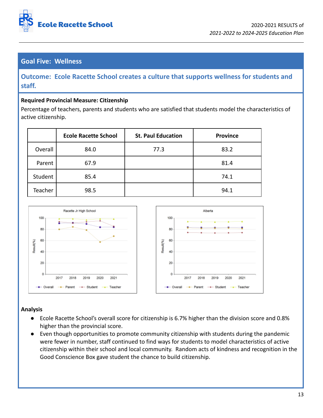

# **Goal Five: Wellness**

**Outcome: Ecole Racette School creates a culture that supports wellness for students and staff.**

## **Required Provincial Measure: Citizenship**

Percentage of teachers, parents and students who are satisfied that students model the characteristics of active citizenship.

|         | <b>Ecole Racette School</b> | <b>St. Paul Education</b> | <b>Province</b> |
|---------|-----------------------------|---------------------------|-----------------|
| Overall | 84.0                        | 77.3                      | 83.2            |
| Parent  | 67.9                        |                           | 81.4            |
| Student | 85.4                        |                           | 74.1            |
| Teacher | 98.5                        |                           | 94.1            |



- Ecole Racette School's overall score for citizenship is 6.7% higher than the division score and 0.8% higher than the provincial score.
- Even though opportunities to promote community citizenship with students during the pandemic were fewer in number, staff continued to find ways for students to model characteristics of active citizenship within their school and local community. Random acts of kindness and recognition in the Good Conscience Box gave student the chance to build citizenship.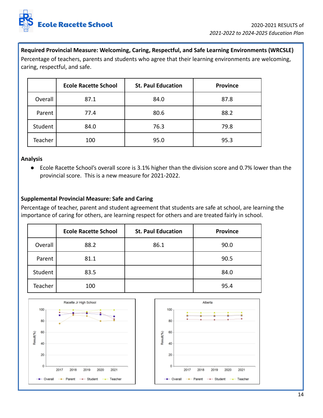

## **Required Provincial Measure: Welcoming, Caring, Respectful, and Safe Learning Environments (WRCSLE)**

Percentage of teachers, parents and students who agree that their learning environments are welcoming, caring, respectful, and safe.

|         | <b>Ecole Racette School</b> | <b>St. Paul Education</b> | <b>Province</b> |
|---------|-----------------------------|---------------------------|-----------------|
| Overall | 87.1                        | 84.0                      | 87.8            |
| Parent  | 77.4                        | 80.6                      | 88.2            |
| Student | 84.0                        | 76.3                      | 79.8            |
| Teacher | 100                         | 95.0                      | 95.3            |

#### **Analysis**

● Ecole Racette School's overall score is 3.1% higher than the division score and 0.7% lower than the provincial score. This is a new measure for 2021-2022.

## **Supplemental Provincial Measure: Safe and Caring**

Percentage of teacher, parent and student agreement that students are safe at school, are learning the importance of caring for others, are learning respect for others and are treated fairly in school.

|         | <b>Ecole Racette School</b> | <b>St. Paul Education</b> | <b>Province</b> |
|---------|-----------------------------|---------------------------|-----------------|
| Overall | 88.2                        | 86.1                      | 90.0            |
| Parent  | 81.1                        |                           | 90.5            |
| Student | 83.5                        |                           | 84.0            |
| Teacher | 100                         |                           | 95.4            |